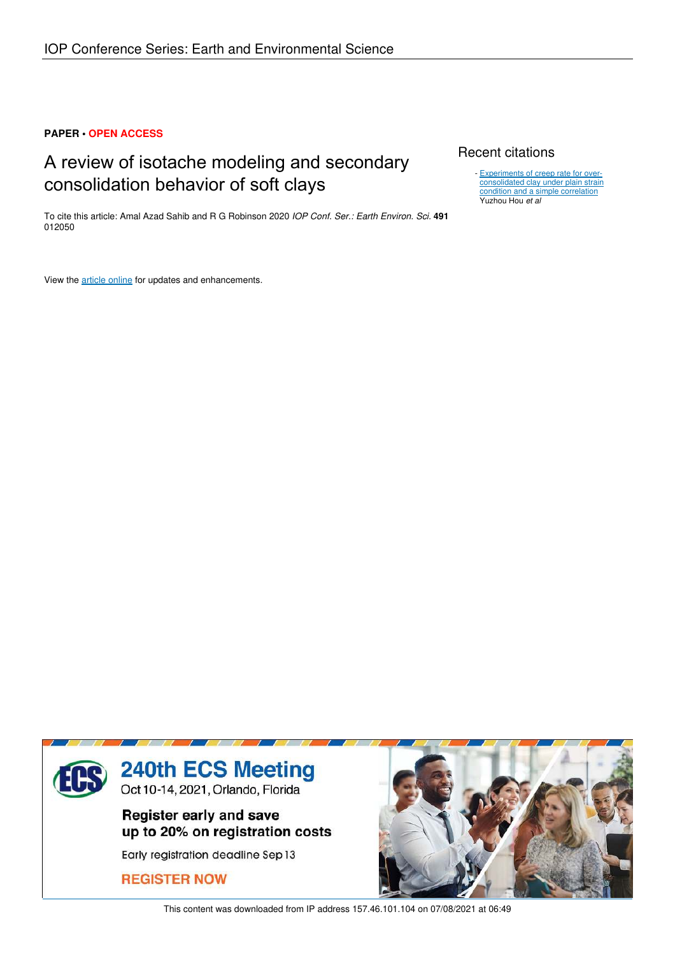# **PAPER • OPEN ACCESS**

# A review of isotache modeling and secondary consolidation behavior of soft clays

To cite this article: Amal Azad Sahib and R G Robinson 2020 *IOP Conf. Ser.: Earth Environ. Sci.* **491** 012050

View the article online for updates and enhancements.

# Recent citations

- Experiments of creep rate for overconsolidated clay under plain strain condition and a simple correlation Yuzhou Hou *et al*



This content was downloaded from IP address 157.46.101.104 on 07/08/2021 at 06:49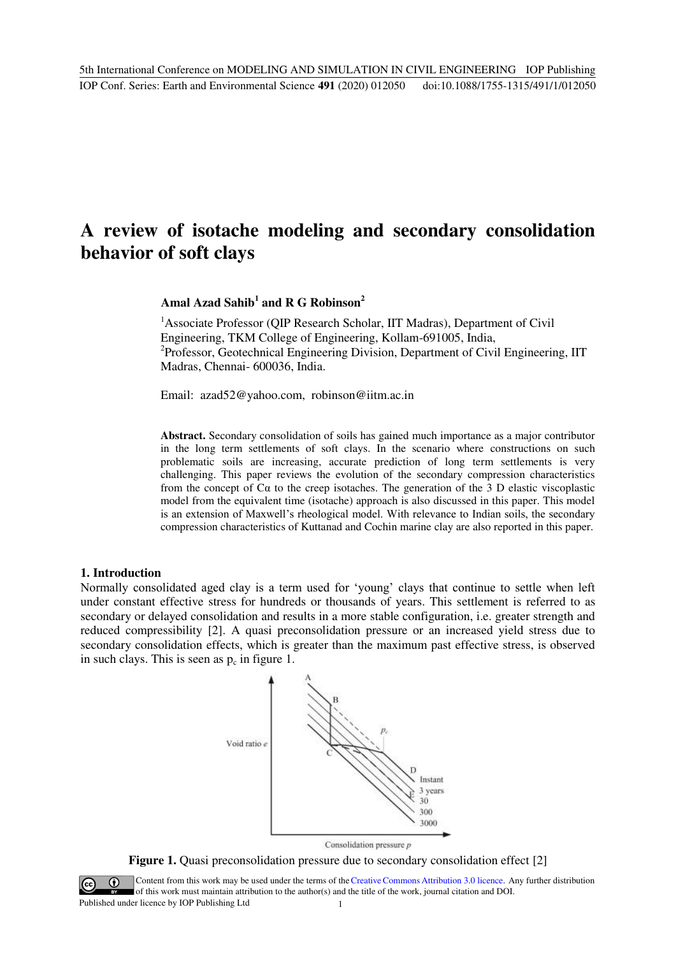# **A review of isotache modeling and secondary consolidation behavior of soft clays**

# **Amal Azad Sahib<sup>1</sup> and R G Robinson<sup>2</sup>**

<sup>1</sup> Associate Professor (QIP Research Scholar, IIT Madras), Department of Civil Engineering, TKM College of Engineering, Kollam-691005, India, <sup>2</sup>Professor, Geotechnical Engineering Division, Department of Civil Engineering, IIT Madras, Chennai- 600036, India.

Email: [azad52@yahoo.com,](mailto:azad52@yahoo.com) robinson@iitm.ac.in

**Abstract.** Secondary consolidation of soils has gained much importance as a major contributor in the long term settlements of soft clays. In the scenario where constructions on such problematic soils are increasing, accurate prediction of long term settlements is very challenging. This paper reviews the evolution of the secondary compression characteristics from the concept of  $C\alpha$  to the creep isotaches. The generation of the 3 D elastic viscoplastic model from the equivalent time (isotache) approach is also discussed in this paper. This model is an extension of Maxwell's rheological model. With relevance to Indian soils, the secondary compression characteristics of Kuttanad and Cochin marine clay are also reported in this paper.

# **1. Introduction**

Normally consolidated aged clay is a term used for 'young' clays that continue to settle when left under constant effective stress for hundreds or thousands of years. This settlement is referred to as secondary or delayed consolidation and results in a more stable configuration, i.e. greater strength and reduced compressibility [2]. A quasi preconsolidation pressure or an increased yield stress due to secondary consolidation effects, which is greater than the maximum past effective stress, is observed in such clays. This is seen as  $p_c$  in figure 1.



Consolidation pressure  $p$ 



Content from this work may be used under the terms of theCreative Commons Attribution 3.0 licence. Any further distribution of this work must maintain attribution to the author(s) and the title of the work, journal citation and DOI.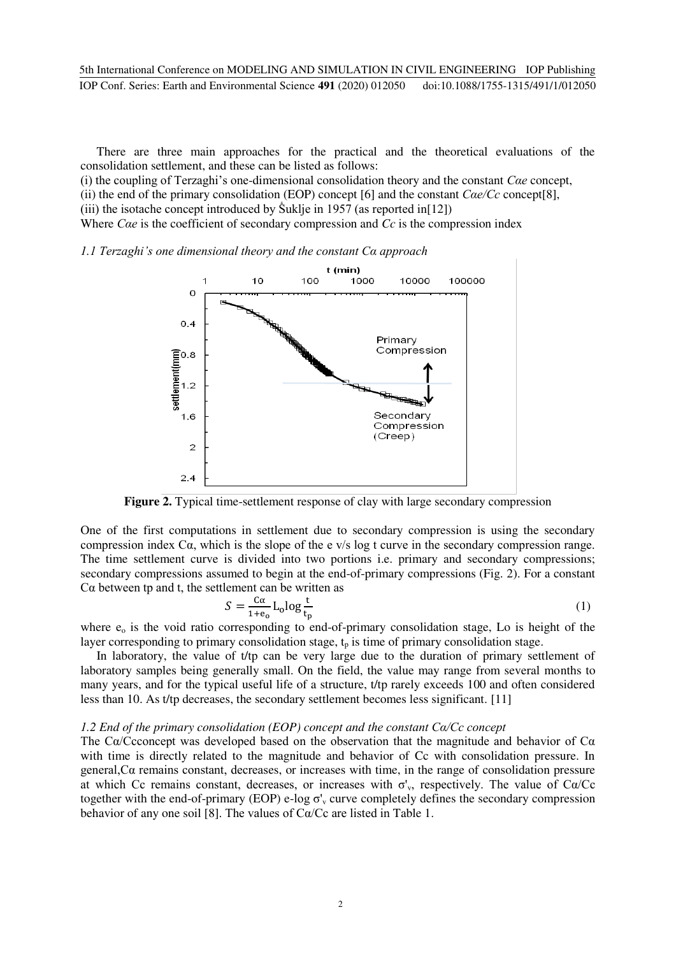There are three main approaches for the practical and the theoretical evaluations of the consolidation settlement, and these can be listed as follows:

(i) the coupling of Terzaghi's one-dimensional consolidation theory and the constant *Cαe* concept, (ii) the end of the primary consolidation (EOP) concept [6] and the constant *Cαe/Cc* concept[8], (iii) the isotache concept introduced by  $\text{\r{Suklje}}$  in 1957 (as reported in[12])

Where *Cae* is the coefficient of secondary compression and *Cc* is the compression index

#### *1.1 Terzaghi's one dimensional theory and the constant Cα approach*



**Figure 2.** Typical time-settlement response of clay with large secondary compression

One of the first computations in settlement due to secondary compression is using the secondary compression index  $C\alpha$ , which is the slope of the e v/s log t curve in the secondary compression range. The time settlement curve is divided into two portions i.e. primary and secondary compressions; secondary compressions assumed to begin at the end-of-primary compressions (Fig. 2). For a constant Cα between tp and t, the settlement can be written as

$$
S = \frac{c\alpha}{1 + e_0} L_0 \log \frac{t}{t_p} \tag{1}
$$

where  $e_0$  is the void ratio corresponding to end-of-primary consolidation stage, Lo is height of the layer corresponding to primary consolidation stage,  $t_p$  is time of primary consolidation stage.

In laboratory, the value of t/tp can be very large due to the duration of primary settlement of laboratory samples being generally small. On the field, the value may range from several months to many years, and for the typical useful life of a structure, t/tp rarely exceeds 100 and often considered less than 10. As t/tp decreases, the secondary settlement becomes less significant. [11]

#### *1.2 End of the primary consolidation (EOP) concept and the constant Cα/Cc concept*

The C $\alpha$ /Ccconcept was developed based on the observation that the magnitude and behavior of C $\alpha$ with time is directly related to the magnitude and behavior of Cc with consolidation pressure. In general, $C\alpha$  remains constant, decreases, or increases with time, in the range of consolidation pressure at which Cc remains constant, decreases, or increases with  $\sigma'_{v}$ , respectively. The value of C $\alpha$ /Cc together with the end-of-primary (EOP) e-log  $\sigma_v$  curve completely defines the secondary compression behavior of any one soil [8]. The values of Cα/Cc are listed in Table 1.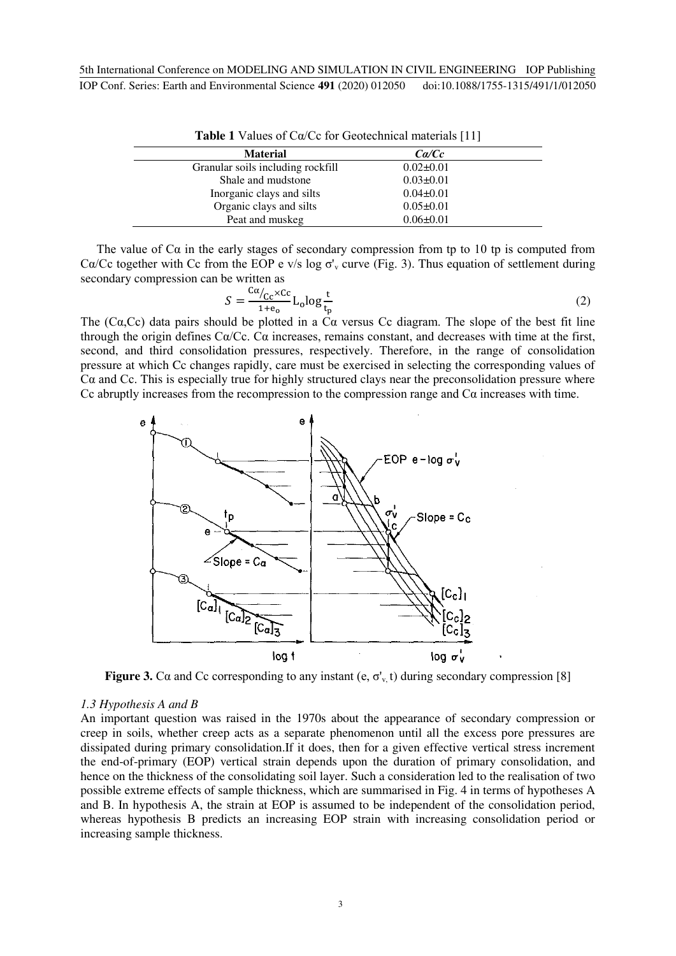| <b>Table 1</b> Values of $C\alpha/Cc$ for Geotechnical materials [11] |                 |  |  |  |
|-----------------------------------------------------------------------|-----------------|--|--|--|
| <b>Material</b>                                                       | Ca/Cc           |  |  |  |
| Granular soils including rockfill                                     | $0.02 \pm 0.01$ |  |  |  |
| Shale and mudstone                                                    | $0.03 \pm 0.01$ |  |  |  |
| Inorganic clays and silts                                             | $0.04 \pm 0.01$ |  |  |  |
| Organic clays and silts                                               | $0.05 \pm 0.01$ |  |  |  |
| Peat and muskeg                                                       | $0.06 \pm 0.01$ |  |  |  |

The value of  $Ca$  in the early stages of secondary compression from tp to 10 tp is computed from C $\alpha$ /Cc together with Cc from the EOP e v/s log  $\sigma_v$  curve (Fig. 3). Thus equation of settlement during secondary compression can be written as

$$
S = \frac{c\alpha_{\text{/c}c} \times c\epsilon}{1 + \epsilon_0} L_0 \log \frac{t}{t_p} \tag{2}
$$

The (C $\alpha$ ,Cc) data pairs should be plotted in a C $\alpha$  versus Cc diagram. The slope of the best fit line through the origin defines Cα/Cc. Cα increases, remains constant, and decreases with time at the first, second, and third consolidation pressures, respectively. Therefore, in the range of consolidation pressure at which Cc changes rapidly, care must be exercised in selecting the corresponding values of  $Ca$  and Cc. This is especially true for highly structured clays near the preconsolidation pressure where Cc abruptly increases from the recompression to the compression range and  $Ca$  increases with time.



**Figure 3.** Ca and Cc corresponding to any instant (e,  $\sigma_v$  t) during secondary compression [8]

#### *1.3 Hypothesis A and B*

An important question was raised in the 1970s about the appearance of secondary compression or creep in soils, whether creep acts as a separate phenomenon until all the excess pore pressures are dissipated during primary consolidation.If it does, then for a given effective vertical stress increment the end-of-primary (EOP) vertical strain depends upon the duration of primary consolidation, and hence on the thickness of the consolidating soil layer. Such a consideration led to the realisation of two possible extreme effects of sample thickness, which are summarised in Fig. 4 in terms of hypotheses A and B. In hypothesis A, the strain at EOP is assumed to be independent of the consolidation period, whereas hypothesis B predicts an increasing EOP strain with increasing consolidation period or increasing sample thickness.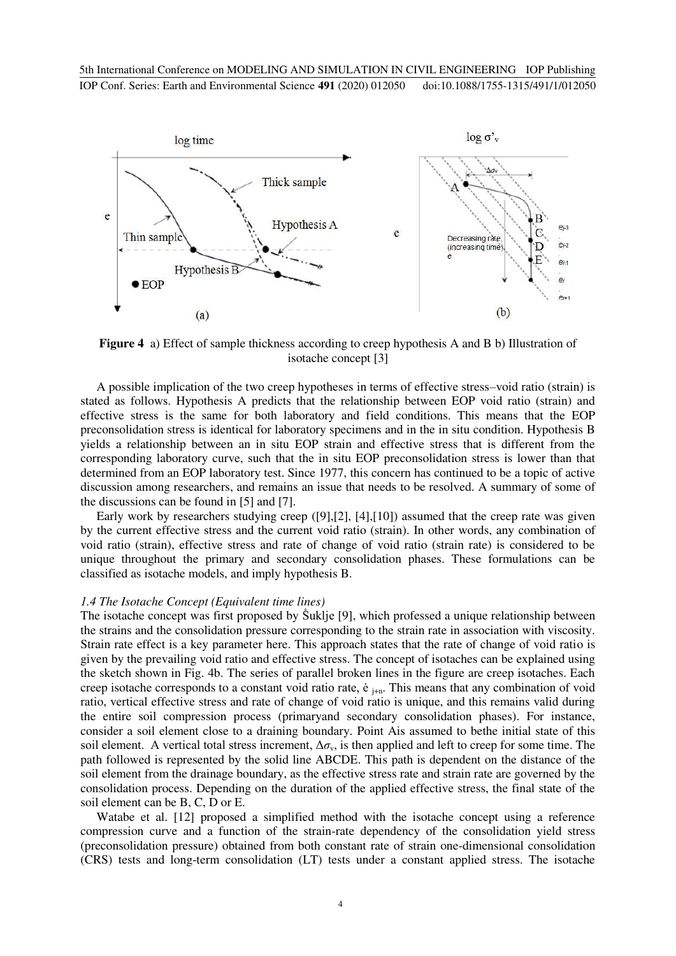

**Figure 4** a) Effect of sample thickness according to creep hypothesis A and B b) Illustration of isotache concept [3]

A possible implication of the two creep hypotheses in terms of effective stress–void ratio (strain) is stated as follows. Hypothesis A predicts that the relationship between EOP void ratio (strain) and effective stress is the same for both laboratory and field conditions. This means that the EOP preconsolidation stress is identical for laboratory specimens and in the in situ condition. Hypothesis B yields a relationship between an in situ EOP strain and effective stress that is different from the corresponding laboratory curve, such that the in situ EOP preconsolidation stress is lower than that determined from an EOP laboratory test. Since 1977, this concern has continued to be a topic of active discussion among researchers, and remains an issue that needs to be resolved. A summary of some of the discussions can be found in [5] and [7].

Early work by researchers studying creep ([9],[2], [4],[10]) assumed that the creep rate was given by the current effective stress and the current void ratio (strain). In other words, any combination of void ratio (strain), effective stress and rate of change of void ratio (strain rate) is considered to be unique throughout the primary and secondary consolidation phases. These formulations can be classified as isotache models, and imply hypothesis B.

#### *1.4 The Isotache Concept (Equivalent time lines)*

The isotache concept was first proposed by Suklje [9], which professed a unique relationship between the strains and the consolidation pressure corresponding to the strain rate in association with viscosity. Strain rate effect is a key parameter here. This approach states that the rate of change of void ratio is given by the prevailing void ratio and effective stress. The concept of isotaches can be explained using the sketch shown in Fig. 4b. The series of parallel broken lines in the figure are creep isotaches. Each creep isotache corresponds to a constant void ratio rate,  $\dot{e}_{j+n}$ . This means that any combination of void ratio, vertical effective stress and rate of change of void ratio is unique, and this remains valid during the entire soil compression process (primaryand secondary consolidation phases). For instance, consider a soil element close to a draining boundary. Point Ais assumed to bethe initial state of this soil element. A vertical total stress increment,  $\Delta \sigma_{v}$ , is then applied and left to creep for some time. The path followed is represented by the solid line ABCDE. This path is dependent on the distance of the soil element from the drainage boundary, as the effective stress rate and strain rate are governed by the consolidation process. Depending on the duration of the applied effective stress, the final state of the soil element can be B, C, D or E.

Watabe et al. [12] proposed a simplified method with the isotache concept using a reference compression curve and a function of the strain-rate dependency of the consolidation yield stress (preconsolidation pressure) obtained from both constant rate of strain one-dimensional consolidation (CRS) tests and long-term consolidation (LT) tests under a constant applied stress. The isotache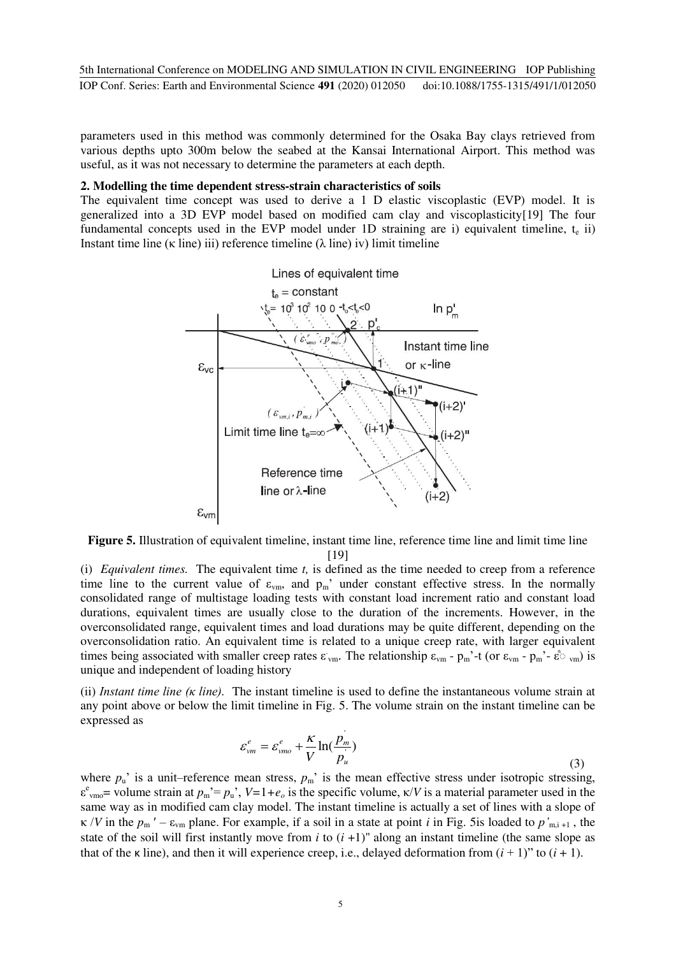parameters used in this method was commonly determined for the Osaka Bay clays retrieved from various depths upto 300m below the seabed at the Kansai International Airport. This method was useful, as it was not necessary to determine the parameters at each depth.

### **2. Modelling the time dependent stress-strain characteristics of soils**

The equivalent time concept was used to derive a 1 D elastic viscoplastic (EVP) model. It is generalized into a 3D EVP model based on modified cam clay and viscoplasticity[19] The four fundamental concepts used in the EVP model under 1D straining are i) equivalent timeline,  $t_e$  ii) Instant time line ( $\kappa$  line) iii) reference timeline ( $\lambda$  line) iv) limit timeline



**Figure 5.** Illustration of equivalent timeline, instant time line, reference time line and limit time line [19]

(i) *Equivalent times.* The equivalent time *t,* is defined as the time needed to creep from a reference time line to the current value of  $\varepsilon_{vm}$ , and  $p_m$ ' under constant effective stress. In the normally consolidated range of multistage loading tests with constant load increment ratio and constant load durations, equivalent times are usually close to the duration of the increments. However, in the overconsolidated range, equivalent times and load durations may be quite different, depending on the overconsolidation ratio. An equivalent time is related to a unique creep rate, with larger equivalent times being associated with smaller creep rates  $\varepsilon_{vm}$ . The relationship  $\varepsilon_{vm}$  -  $p_m$ <sup>2</sup>-t (or  $\varepsilon_{vm}$  -  $p_m$ <sup>2</sup>- $\varepsilon$ <sup>3</sup> <sub>vm</sub>) is unique and independent of loading history

(ii) *Instant time line (κ line).* The instant timeline is used to define the instantaneous volume strain at any point above or below the limit timeline in Fig. 5. The volume strain on the instant timeline can be expressed as

$$
\varepsilon_{vm}^e = \varepsilon_{vmo}^e + \frac{K}{V} \ln(\frac{p_m}{p_u})
$$
\n(3)

where  $p_u$ ' is a unit–reference mean stress,  $p_m$ ' is the mean effective stress under isotropic stressing,  $\varepsilon^{e}$ <sub>vmo</sub>= volume strain at  $p_m' = p_u'$ ,  $V=1+e_o$  is the specific volume,  $\kappa/V$  is a material parameter used in the same way as in modified cam clay model. The instant timeline is actually a set of lines with a slope of  $\kappa$  /*V* in the  $p_m$  ' –  $\varepsilon_{vm}$  plane. For example, if a soil in a state at point *i* in Fig. 5is loaded to  $p'_{m,i+1}$ , the state of the soil will first instantly move from  $i$  to  $(i + 1)$ " along an instant timeline (the same slope as that of the  $\kappa$  line), and then it will experience creep, i.e., delayed deformation from  $(i + 1)$ " to  $(i + 1)$ .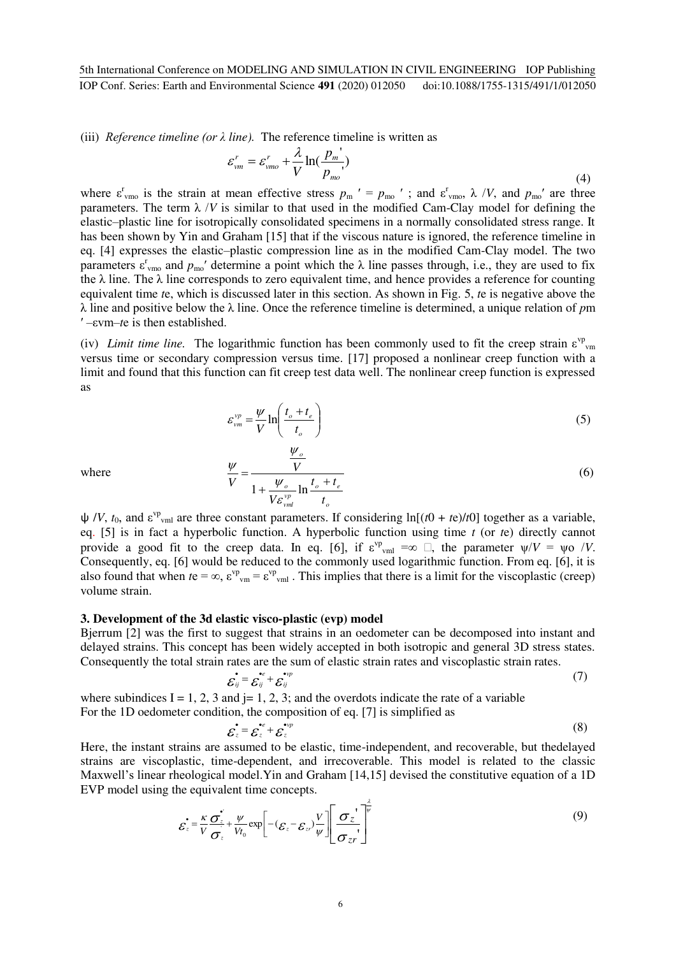(iii) *Reference timeline (or λ line).* The reference timeline is written as

$$
\varepsilon_{vm}^r = \varepsilon_{vmo}^r + \frac{\lambda}{V} \ln(\frac{p_m^r}{p_{mo}^r})
$$
\n(4)

where  $\varepsilon_{\text{vmo}}^{\text{r}}$  is the strain at mean effective stress  $p_{\text{m}}' = p_{\text{mo}}'$ ; and  $\varepsilon_{\text{vmo}}^{\text{r}}$ ,  $\lambda$  /*V*, and  $p_{\text{mo}}'$  are three parameters. The term  $\lambda$  /*V* is similar to that used in the modified Cam-Clay model for defining the elastic–plastic line for isotropically consolidated specimens in a normally consolidated stress range. It has been shown by Yin and Graham [15] that if the viscous nature is ignored, the reference timeline in eq. [4] expresses the elastic–plastic compression line as in the modified Cam-Clay model. The two parameters  $\varepsilon_{\text{vmo}}^r$  and  $p_{\text{mo}}^r$  determine a point which the  $\lambda$  line passes through, i.e., they are used to fix the  $\lambda$  line. The  $\lambda$  line corresponds to zero equivalent time, and hence provides a reference for counting equivalent time *t*e, which is discussed later in this section. As shown in Fig. 5, *t*e is negative above the λ line and positive below the λ line. Once the reference timeline is determined, a unique relation of *p*m ′ –εvm–*t*e is then established.

(iv) *Limit time line*. The logarithmic function has been commonly used to fit the creep strain  $\varepsilon^{\text{vp}}$ <sub>vm</sub> versus time or secondary compression versus time. [17] proposed a nonlinear creep function with a limit and found that this function can fit creep test data well. The nonlinear creep function is expressed as

$$
\varepsilon_{vm}^{vp} = \frac{\psi}{V} \ln \left( \frac{t_o + t_e}{t_o} \right) \tag{5}
$$

where

$$
\frac{\psi}{V} = \frac{\frac{\psi_o}{V}}{1 + \frac{\psi_o}{V \varepsilon_{vml}^{vp}} \ln \frac{t_o + t_e}{t_o}}
$$
(6)

 $\psi$  /*V*,  $t_0$ , and  $\varepsilon^{\text{vp}}$ <sub>vml</sub> are three constant parameters. If considering ln[(*t*0 + *t*e)/*t*0] together as a variable, eq. [5] is in fact a hyperbolic function. A hyperbolic function using time *t* (or *t*e) directly cannot provide a good fit to the creep data. In eq. [6], if  $\varepsilon^{\text{vp}}$ <sub>vml</sub> = $\infty$   $\Box$ , the parameter  $\psi/V = \psi \circ /V$ . Consequently, eq. [6] would be reduced to the commonly used logarithmic function. From eq. [6], it is also found that when  $te = \infty$ ,  $\varepsilon^{vp}$ <sub>vm</sub> =  $\varepsilon^{vp}$ <sub>vml</sub>. This implies that there is a limit for the viscoplastic (creep) volume strain.

### **3. Development of the 3d elastic visco-plastic (evp) model**

Bjerrum [2] was the first to suggest that strains in an oedometer can be decomposed into instant and delayed strains. This concept has been widely accepted in both isotropic and general 3D stress states. Consequently the total strain rates are the sum of elastic strain rates and viscoplastic strain rates.

$$
\vec{\varepsilon}_y = \vec{\varepsilon}_y^* + \vec{\varepsilon}_y^*
$$
 (7)

where subindices  $I = 1, 2, 3$  and  $j = 1, 2, 3$ ; and the overdots indicate the rate of a variable For the 1D oedometer condition, the composition of eq. [7] is simplified as

$$
\mathcal{E}_{z} = \mathcal{E}_{z}^{*} + \mathcal{E}_{z}^{*} \tag{8}
$$

Here, the instant strains are assumed to be elastic, time-independent, and recoverable, but thedelayed strains are viscoplastic, time-dependent, and irrecoverable. This model is related to the classic Maxwell's linear rheological model.Yin and Graham [14,15] devised the constitutive equation of a 1D EVP model using the equivalent time concepts.

$$
\varepsilon_z^{\dagger} = \frac{\kappa}{V} \frac{\sigma_z^{\dagger}}{\sigma_z} + \frac{\psi}{V t_0} \exp\left[ -(\varepsilon_z - \varepsilon_z) \frac{V}{\psi} \right] \left[ \frac{\sigma_z^{\dagger}}{\sigma_{z'}} \right]^{\frac{\lambda}{\psi}}
$$
(9)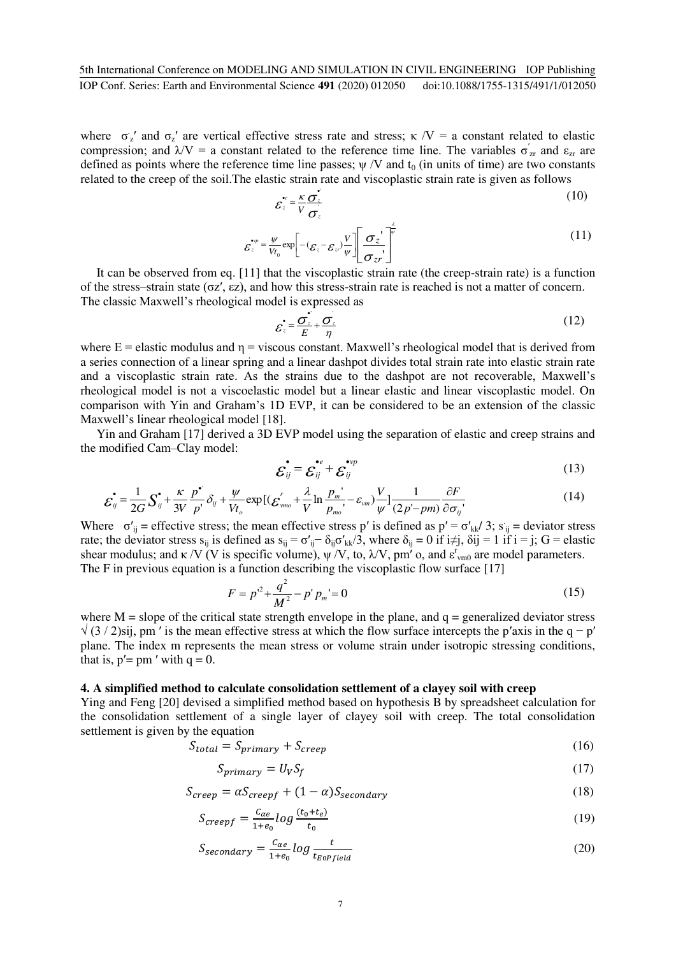where  $\sigma_z'$  and  $\sigma_z'$  are vertical effective stress rate and stress;  $\kappa / V = a$  constant related to elastic compression; and  $\lambda V = a$  constant related to the reference time line. The variables  $\sigma'_{zr}$  and  $\varepsilon_{zr}$  are defined as points where the reference time line passes;  $\psi$  /V and  $t_0$  (in units of time) are two constants related to the creep of the soil.The elastic strain rate and viscoplastic strain rate is given as follows

$$
\varepsilon_z^* = \frac{\kappa}{V} \frac{\sigma_z^*}{\sigma_z}
$$
 (10)

$$
\varepsilon_z^{w} = \frac{\psi}{V t_0} \exp\left[ -(\varepsilon_z - \varepsilon_z) \frac{V}{\psi} \right] \left[ \frac{\sigma_z}{\sigma_{z'}} \right]^{\frac{2}{\psi}} \tag{11}
$$

It can be observed from eq. [11] that the viscoplastic strain rate (the creep-strain rate) is a function of the stress–strain state (σz′, εz), and how this stress-strain rate is reached is not a matter of concern. The classic Maxwell's rheological model is expressed as

$$
\varepsilon_z = \frac{\sigma_z^2}{E} + \frac{\sigma_z}{\eta}
$$
 (12)

where  $E =$  elastic modulus and  $\eta =$  viscous constant. Maxwell's rheological model that is derived from a series connection of a linear spring and a linear dashpot divides total strain rate into elastic strain rate and a viscoplastic strain rate. As the strains due to the dashpot are not recoverable, Maxwell's rheological model is not a viscoelastic model but a linear elastic and linear viscoplastic model. On comparison with Yin and Graham's 1D EVP, it can be considered to be an extension of the classic Maxwell's linear rheological model [18].

Yin and Graham [17] derived a 3D EVP model using the separation of elastic and creep strains and the modified Cam–Clay model:

$$
\mathcal{E}_{ij} = \mathcal{E}_{ij}^{e} + \mathcal{E}_{ij}^{v} \tag{13}
$$

$$
\dot{\mathbf{\mathcal{E}}}_{ij} = \frac{1}{2G} \mathbf{S}_{ij}^{\bullet} + \frac{\kappa}{3V} \frac{p^{\bullet}}{p^{\prime}} \delta_{ij} + \frac{\psi}{Vt_o} \exp\left[ (\mathbf{\mathcal{E}}_{vmo}^{r} + \frac{\lambda}{V} \ln \frac{p_m^{\prime}}{p_{mo}^{\prime}} - \varepsilon_{vm}) \frac{V}{\psi} \right] \frac{1}{(2p^{\prime} - pm)} \frac{\partial F}{\partial \sigma_{ij}^{\prime}} \tag{14}
$$

 $\overline{a}$ Where  $\sigma'_{ij}$  = effective stress; the mean effective stress p' is defined as  $p' = \sigma'_{kk}/3$ ;  $s_{ij}$  = deviator stress rate; the deviator stress  $s_{ij}$  is defined as  $s_{ij} = \sigma'_{ij} - \delta_{ij} \sigma'_{kk}/3$ , where  $\delta_{ij} = 0$  if  $i \neq j$ ,  $\delta ij = 1$  if  $i = j$ ;  $G =$  elastic shear modulus; and  $\kappa/V$  (V is specific volume),  $\psi/V$ , to,  $\lambda/V$ , pm' o, and  $\varepsilon_{\text{vm0}}^r$  are model parameters. The F in previous equation is a function describing the viscoplastic flow surface [17]

$$
F = p'^2 + \frac{q^2}{M^2} - p' p_m' = 0 \tag{15}
$$

where  $M =$  slope of the critical state strength envelope in the plane, and  $q =$  generalized deviator stress  $\sqrt{(3/2)}$ sij, pm' is the mean effective stress at which the flow surface intercepts the p'axis in the q − p' plane. The index m represents the mean stress or volume strain under isotropic stressing conditions, that is,  $p' = pm'$  with  $q = 0$ .

## **4. A simplified method to calculate consolidation settlement of a clayey soil with creep**

Ying and Feng [20] devised a simplified method based on hypothesis B by spreadsheet calculation for the consolidation settlement of a single layer of clayey soil with creep. The total consolidation settlement is given by the equation

$$
S_{total} = S_{primary} + S_{creep}
$$
\n
$$
(16)
$$

$$
S_{primary} = U_V S_f \tag{17}
$$

$$
S_{creep} = \alpha S_{creepf} + (1 - \alpha) S_{secondary}
$$
\n(18)

$$
S_{creepf} = \frac{c_{\alpha e}}{1 + e_0} \log \frac{(t_0 + t_e)}{t_0} \tag{19}
$$

$$
S_{secondary} = \frac{c_{ae}}{1 + e_0} \log \frac{t}{t_{Eopfield}}
$$
 (20)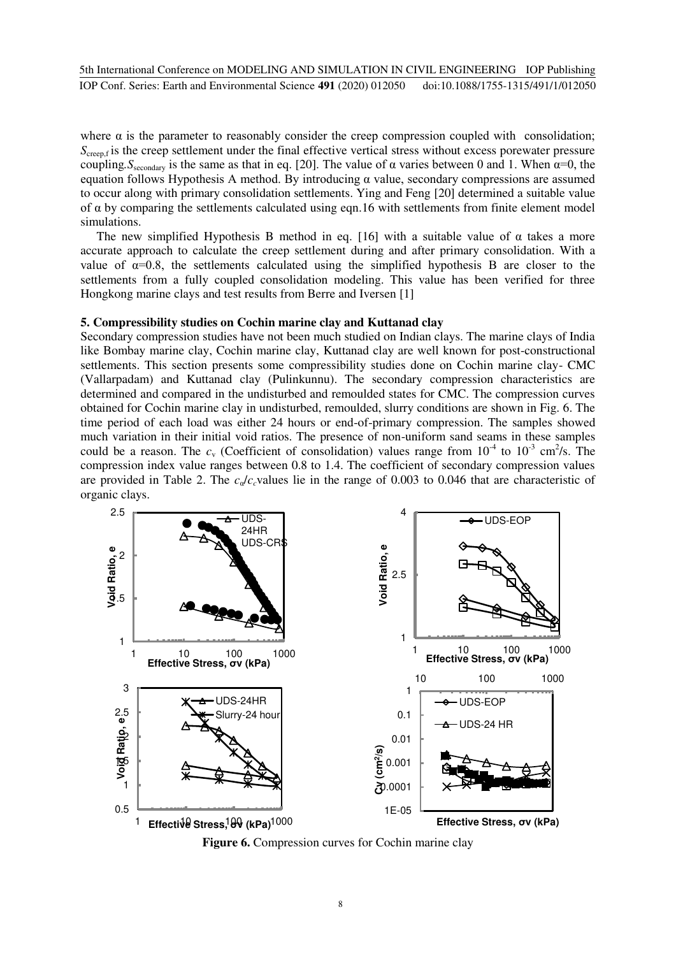where  $\alpha$  is the parameter to reasonably consider the creep compression coupled with consolidation; *S*<sub>creep,f</sub> is the creep settlement under the final effective vertical stress without excess porewater pressure coupling,  $S_{\text{secondary}}$  is the same as that in eq. [20]. The value of  $\alpha$  varies between 0 and 1. When  $\alpha=0$ , the equation follows Hypothesis A method. By introducing  $α$  value, secondary compressions are assumed to occur along with primary consolidation settlements. Ying and Feng [20] determined a suitable value of  $\alpha$  by comparing the settlements calculated using eqn.16 with settlements from finite element model simulations.

The new simplified Hypothesis B method in eq. [16] with a suitable value of  $\alpha$  takes a more accurate approach to calculate the creep settlement during and after primary consolidation. With a value of  $\alpha=0.8$ , the settlements calculated using the simplified hypothesis B are closer to the settlements from a fully coupled consolidation modeling. This value has been verified for three Hongkong marine clays and test results from Berre and Iversen [1]

#### **5. Compressibility studies on Cochin marine clay and Kuttanad clay**

Secondary compression studies have not been much studied on Indian clays. The marine clays of India like Bombay marine clay, Cochin marine clay, Kuttanad clay are well known for post-constructional settlements. This section presents some compressibility studies done on Cochin marine clay- CMC (Vallarpadam) and Kuttanad clay (Pulinkunnu). The secondary compression characteristics are determined and compared in the undisturbed and remoulded states for CMC. The compression curves obtained for Cochin marine clay in undisturbed, remoulded, slurry conditions are shown in Fig. 6. The time period of each load was either 24 hours or end-of-primary compression. The samples showed much variation in their initial void ratios. The presence of non-uniform sand seams in these samples could be a reason. The  $c_v$  (Coefficient of consolidation) values range from  $10^{-4}$  to  $10^{-3}$  cm<sup>2</sup>/s. The compression index value ranges between 0.8 to 1.4. The coefficient of secondary compression values are provided in Table 2. The  $c_a/c_c$  values lie in the range of 0.003 to 0.046 that are characteristic of organic clays.



**Figure 6.** Compression curves for Cochin marine clay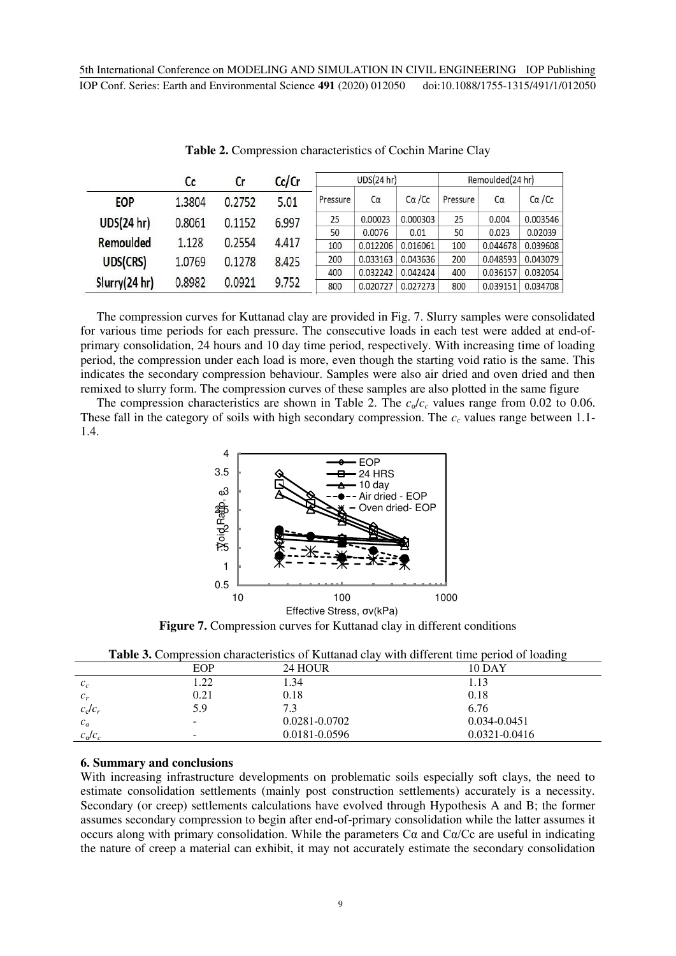|               | Cc     | Cr     | Cc/Cr |          | UDS(24 hr) |          |          | Remoulded(24 hr) |                |
|---------------|--------|--------|-------|----------|------------|----------|----------|------------------|----------------|
| <b>EOP</b>    | 1.3804 | 0.2752 | 5.01  | Pressure | $C\alpha$  | Ca/Cc    | Pressure | $C\alpha$        | $C\alpha$ / Cc |
| UDS(24 hr)    | 0.8061 | 0.1152 | 6.997 | 25       | 0.00023    | 0.000303 | 25       | 0.004            | 0.003546       |
|               |        |        |       | 50       | 0.0076     | 0.01     | 50       | 0.023            | 0.02039        |
| Remoulded     | 1.128  | 0.2554 | 4.417 | 100      | 0.012206   | 0.016061 | 100      | 0.044678         | 0.039608       |
| UDS(CRS)      | 1.0769 | 0.1278 | 8.425 | 200      | 0.033163   | 0.043636 | 200      | 0.048593         | 0.043079       |
|               |        |        |       | 400      | 0.032242   | 0.042424 | 400      | 0.036157         | 0.032054       |
| Slurry(24 hr) | 0.8982 | 0.0921 | 9.752 | 800      | 0.020727   | 0.027273 | 800      | 0.039151         | 0.034708       |

**Table 2.** Compression characteristics of Cochin Marine Clay

The compression curves for Kuttanad clay are provided in Fig. 7. Slurry samples were consolidated for various time periods for each pressure. The consecutive loads in each test were added at end-ofprimary consolidation, 24 hours and 10 day time period, respectively. With increasing time of loading period, the compression under each load is more, even though the starting void ratio is the same. This indicates the secondary compression behaviour. Samples were also air dried and oven dried and then remixed to slurry form. The compression curves of these samples are also plotted in the same figure

The compression characteristics are shown in Table 2. The  $c_{\alpha}/c_c$  values range from 0.02 to 0.06. These fall in the category of soils with high secondary compression. The  $c_c$  values range between 1.1-1.4.



**Figure 7.** Compression curves for Kuttanad clay in different conditions

|                       |      | <b>Table 3.</b> Complession characteristics of ixattanad clay with unicicity three period of ioading |                   |
|-----------------------|------|------------------------------------------------------------------------------------------------------|-------------------|
|                       | EOP  | 24 HOUR                                                                                              | <b>10 DAY</b>     |
| $c_c$                 | l.22 | 1.34                                                                                                 | 1.13              |
| $c_r$                 | 0.21 | 0.18                                                                                                 | 0.18              |
| $c_{\rm c}/c_{\rm r}$ | 5.9  | 7.3                                                                                                  | 6.76              |
| $c_a$                 | -    | 0.0281-0.0702                                                                                        | 0.034-0.0451      |
| $c_a/c_c$             | ۰    | 0.0181-0.0596                                                                                        | $0.0321 - 0.0416$ |

**Table 3.** Compression characteristics of Kuttanad clay with different time period of loading

# **6. Summary and conclusions**

With increasing infrastructure developments on problematic soils especially soft clays, the need to estimate consolidation settlements (mainly post construction settlements) accurately is a necessity. Secondary (or creep) settlements calculations have evolved through Hypothesis A and B; the former assumes secondary compression to begin after end-of-primary consolidation while the latter assumes it occurs along with primary consolidation. While the parameters  $C\alpha$  and  $C\alpha/Cc$  are useful in indicating the nature of creep a material can exhibit, it may not accurately estimate the secondary consolidation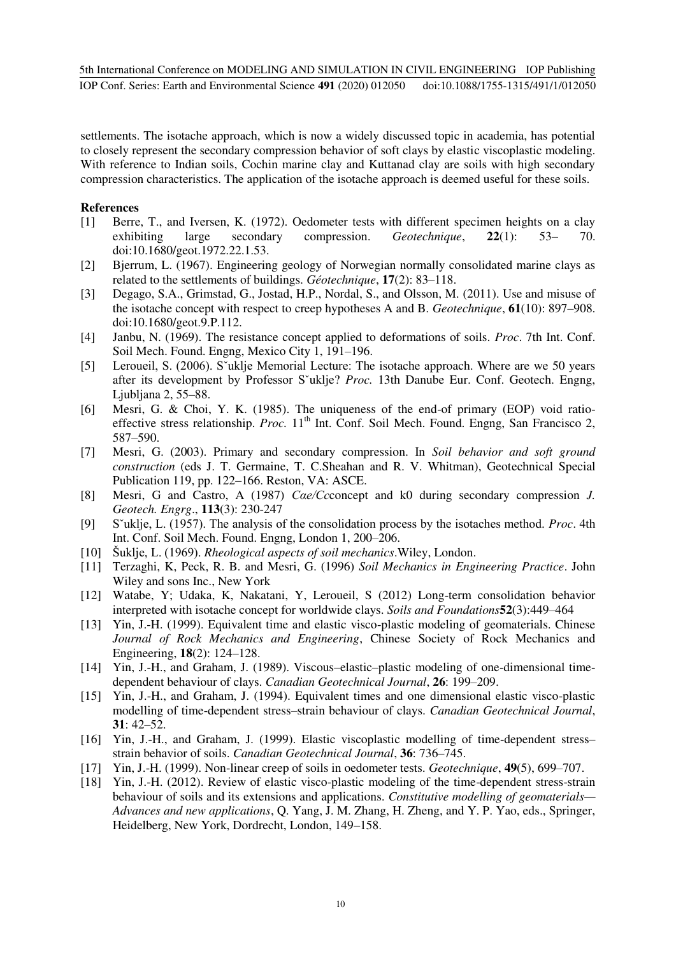settlements. The isotache approach, which is now a widely discussed topic in academia, has potential to closely represent the secondary compression behavior of soft clays by elastic viscoplastic modeling. With reference to Indian soils, Cochin marine clay and Kuttanad clay are soils with high secondary compression characteristics. The application of the isotache approach is deemed useful for these soils.

# **References**

- [1] Berre, T., and Iversen, K. (1972). Oedometer tests with different specimen heights on a clay exhibiting large secondary compression. *Geotechnique*, **22**(1): 53– 70. doi:10.1680/geot.1972.22.1.53.
- [2] Bjerrum, L. (1967). Engineering geology of Norwegian normally consolidated marine clays as related to the settlements of buildings. *Géotechnique*, **17**(2): 83–118.
- [3] Degago, S.A., Grimstad, G., Jostad, H.P., Nordal, S., and Olsson, M. (2011). Use and misuse of the isotache concept with respect to creep hypotheses A and B. *Geotechnique*, **61**(10): 897–908. doi:10.1680/geot.9.P.112.
- [4] Janbu, N. (1969). The resistance concept applied to deformations of soils. *Proc*. 7th Int. Conf. Soil Mech. Found. Engng, Mexico City 1, 191–196.
- [5] Leroueil, S. (2006). S`uklje Memorial Lecture: The isotache approach. Where are we 50 years after its development by Professor Sˇuklje? *Proc.* 13th Danube Eur. Conf. Geotech. Engng, Ljubljana 2, 55–88.
- [6] Mesri, G. & Choi, Y. K. (1985). The uniqueness of the end-of primary (EOP) void ratioeffective stress relationship. *Proc.* 11<sup>th</sup> Int. Conf. Soil Mech. Found. Engng, San Francisco 2, 587–590.
- [7] Mesri, G. (2003). Primary and secondary compression. In *Soil behavior and soft ground construction* (eds J. T. Germaine, T. C.Sheahan and R. V. Whitman), Geotechnical Special Publication 119, pp. 122–166. Reston, VA: ASCE.
- [8] Mesri, G and Castro, A (1987) *Cαe/Cc*concept and k0 during secondary compression *J. Geotech. Engrg*., **113**(3): 230-247
- [9] Sˇuklje, L. (1957). The analysis of the consolidation process by the isotaches method. *Proc*. 4th Int. Conf. Soil Mech. Found. Engng, London 1, 200–206.
- [10] Šuklje, L. (1969). *Rheological aspects of soil mechanics*.Wiley, London.
- [11] Terzaghi, K, Peck, R. B. and Mesri, G. (1996) *Soil Mechanics in Engineering Practice*. John Wiley and sons Inc., New York
- [12] Watabe, Y; Udaka, K, Nakatani, Y, Leroueil, S (2012) Long-term consolidation behavior interpreted with isotache concept for worldwide clays. *Soils and Foundations***52**(3):449–464
- [13] Yin, J.-H. (1999). Equivalent time and elastic visco-plastic modeling of geomaterials. Chinese *Journal of Rock Mechanics and Engineering*, Chinese Society of Rock Mechanics and Engineering, **18**(2): 124–128.
- [14] Yin, J.-H., and Graham, J. (1989). Viscous–elastic–plastic modeling of one-dimensional timedependent behaviour of clays. *Canadian Geotechnical Journal*, **26**: 199–209.
- [15] Yin, J.-H., and Graham, J. (1994). Equivalent times and one dimensional elastic visco-plastic modelling of time-dependent stress–strain behaviour of clays. *Canadian Geotechnical Journal*, **31**: 42–52.
- [16] Yin, J.-H., and Graham, J. (1999). Elastic viscoplastic modelling of time-dependent stress– strain behavior of soils. *Canadian Geotechnical Journal*, **36**: 736–745.
- [17] Yin, J.-H. (1999). Non-linear creep of soils in oedometer tests. *Geotechnique*, **49**(5), 699–707.
- [18] Yin, J.-H. (2012). Review of elastic visco-plastic modeling of the time-dependent stress-strain behaviour of soils and its extensions and applications. *Constitutive modelling of geomaterials— Advances and new applications*, Q. Yang, J. M. Zhang, H. Zheng, and Y. P. Yao, eds., Springer, Heidelberg, New York, Dordrecht, London, 149–158.